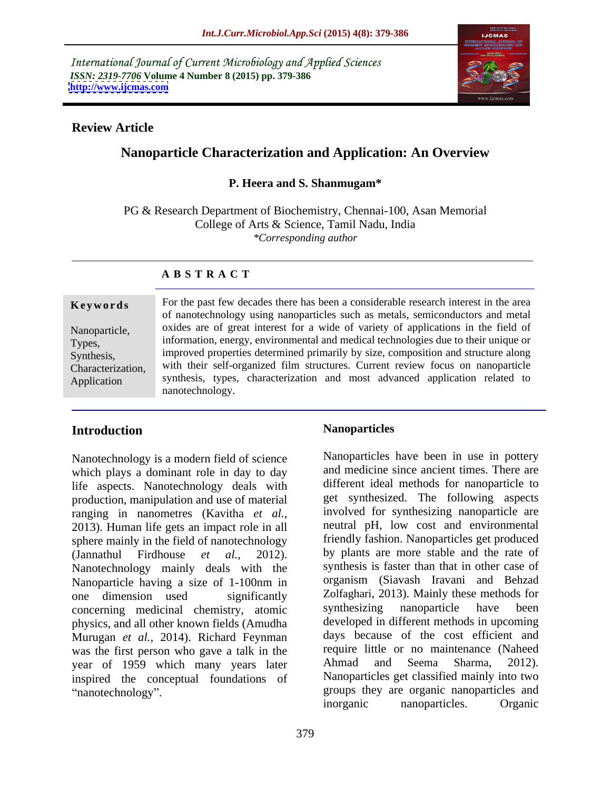International Journal of Current Microbiology and Applied Sciences *ISSN: 2319-7706* **Volume 4 Number 8 (2015) pp. 379-386 <http://www.ijcmas.com>**



### **Review Article**

# **Nanoparticle Characterization and Application: An Overview**

### **P. Heera and S. Shanmugam\***

PG & Research Department of Biochemistry, Chennai-100, Asan Memorial College of Arts & Science, Tamil Nadu, India *\*Corresponding author* 

### **A B S T R A C T**

Application

**Keywords** For the past few decades there has been a considerable research interest in the area of nanotechnology using nanoparticles such as metals, semiconductors and metal Nanoparticle, oxides are of great interest for a wide of variety of applications in the field of information, energy, environmental and medical technologies due to their unique or Types, improved properties determined primarily by size, composition and structure along Synthesis, with their self-organized film structures. Current review focus on nanoparticle Characterization, synthesis, types, characterization and most advanced application related to nanotechnology.

# **Introduction**

Nanotechnology is a modern field of science which plays a dominant role in day to day life aspects. Nanotechnology deals with production, manipulation and use of material ranging in nanometres (Kavitha *et al.,* 2013). Human life gets an impact role in all sphere mainly in the field of nanotechnology Nanotechnology mainly deals with the concerning medicinal chemistry, atomic synthesizing nanoparticle have been physics, and all other known fields (Amudha Murugan *et al.,* 2014). Richard Feynman was the first person who gave a talk in the require little or no maintenance (Naheed vear of 1959 which many vears later Ahmad and Seema Sharma, 2012). year of 1959 which many years later inspired the conceptual foundations of

(Jannathul Firdhouse *et al.,* 2012). by plants are more stable and the rate of Nanoparticle having a size of 1-100nm in one dimension used significantly Zolfaghari, 2013). Mainly these methods for **ntroduction**<br> **Nanoparticles**<br> **Nanoparticles**<br> **Nanoparticles**<br> **Nanoparticles**<br> **Nanoparticles**<br> **Nanoparticles**<br> **Nanoparticles**<br> **Nanoparticles**<br> **Confidence**<br> **Nanoparticle**<br> **Confidence**<br> **Confidence**<br> **Confidence**<br> Nanoparticles have been in use in pottery and medicine since ancient times. There are different ideal methods for nanoparticle to get synthesized. The following aspects involved for synthesizing nanoparticle are neutral pH, low cost and environmental friendly fashion. Nanoparticles get produced synthesis is faster than that in other case of organism (Siavash Iravani and Behzad synthesizing nanoparticle have been developed in different methods in upcoming days because of the cost efficient and require little or no maintenance (Naheed Ahmad and Seema Sharma, 2012). Nanoparticles get classified mainly into two groups they are organic nanoparticles and inorganic nanoparticles. Organic

379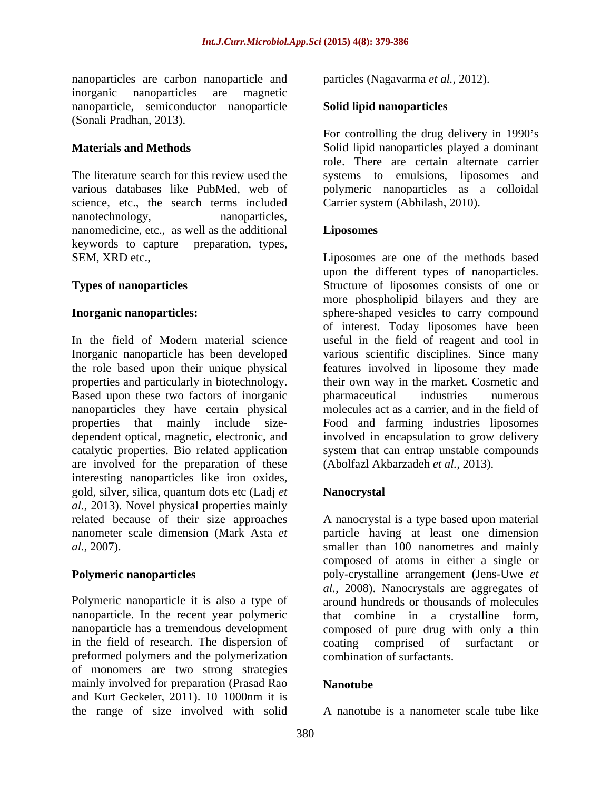nanoparticles are carbon nanoparticle and inorganic nanoparticles are magnetic nanoparticle, semiconductor nanoparticle Solid lipid nanoparticles (Sonali Pradhan, 2013).

science, etc., the search terms included Carrier system (Abhilash, 2010).<br>nanotechnology, nanoparticles, nanomedicine, etc., as well as the additional<br>keywords to capture preparation, types, keywords to capture preparation, types,

In the field of Modern material science useful in the field of reagent and tool in Inorganic nanoparticle has been developed various scientific disciplines. Since many the role based upon their unique physical properties and particularly in biotechnology. Based upon these two factors of inorganic nanoparticles they have certain physical properties that mainly include size- Food and farming industries liposomes dependent optical, magnetic, electronic, and involved in encapsulation to grow delivery catalytic properties. Bio related application are involved for the preparation of these interesting nanoparticles like iron oxides, gold, silver, silica, quantum dots etc (Ladj *et al.,* 2013). Novel physical properties mainly related because of their size approaches A nanocrystal is a type based upon material nanometer scale dimension (Mark Asta *et*  particle having at least one dimension

in the field of research. The dispersion of coating comprised of surfactant or preformed polymers and the polymerization combination of surfactants. of monomers are two strong strategies mainly involved for preparation (Prasad Rao **Nanotube** and Kurt Geckeler,  $2011$ ).  $10-1000$ nm it is the range of size involved with solid

particles (Nagavarma *et al.,* 2012).

### **Solid lipid nanoparticles**

**Materials and Methods** Solid lipid nanoparticles played a dominant The literature search for this review used the systems to emulsions, liposomes and various databases like PubMed, web of polymeric nanoparticles as a colloidal For controlling the drug delivery in 1990's role. There are certain alternate carrier Carrier system (Abhilash, 2010).

### **Liposomes**

SEM, XRD etc., Liposomes are one of the methods based **Types of nanoparticles** Structure of liposomes consists of one or **Inorganic nanoparticles:** sphere-shaped vesicles to carry compound upon the different types of nanoparticles. more phospholipid bilayers and they are of interest. Today liposomes have been features involved in liposome they made their own way in the market. Cosmetic and pharmaceutical industries numerous molecules act as a carrier, and in the field of system that can entrap unstable compounds (Abolfazl Akbarzadeh *et al.,* 2013).

# **Nanocrystal**

*al.,* 2007). smaller than 100 nanometres and mainly **Polymeric nanoparticles** poly-crystalline arrangement (Jens-Uwe *et*  Polymeric nanoparticle it is also a type of around hundreds or thousands of molecules nanoparticle. In the recent year polymeric that combine in a crystalline form, nanoparticle has a tremendous development composed of pure drug with only a thin composed of atoms in either a single or *al.,* 2008). Nanocrystals are aggregates of coating comprised of surfactant or combination of surfactants.

### **Nanotube**

A nanotube is a nanometer scale tube like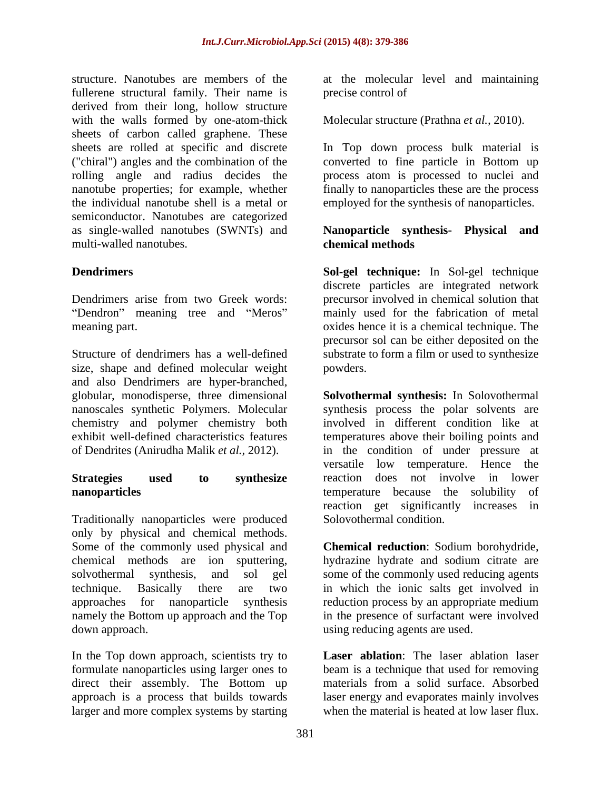structure. Nanotubes are members of the at the molecular level and maintaining fullerene structural family. Their name is precise control of derived from their long, hollow structure with the walls formed by one-atom-thick Molecular structure (Prathna *et al.*, 2010). sheets of carbon called graphene. These sheets are rolled at specific and discrete In Top down process bulk material is ("chiral") angles and the combination of the rolling angle and radius decides the process atom is processed to nuclei and nanotube properties; for example, whether finally to nanoparticles these are the process the individual nanotube shell is a metal or employed for the synthesis of nanoparticles. semiconductor. Nanotubes are categorized as single-walled nanotubes (SWNTs) and **Nanoparticle synthesis- Physical and**

Structure of dendrimers has a well-defined substrate to form a film or used to synthesize size, shape and defined molecular weight and also Dendrimers are hyper-branched, nanoscales synthetic Polymers. Molecular chemistry and polymer chemistry both<br>exhibit well-defined characteristics features

Traditionally nanoparticles were produced only by physical and chemical methods. Some of the commonly used physical and **Chemical reduction**: Sodium borohydride, chemical methods are ion sputtering, solvothermal synthesis, and sol gel some of the commonly used reducing agents technique. Basically there are two in which the ionic salts get involved in approaches for nanoparticle synthesis reduction process by an appropriate medium namely the Bottom up approach and the Top in the presence of surfactant were involved down approach. using reducing agents are used.

In the Top down approach, scientists try to formulate nanoparticles using larger ones to direct their assembly. The Bottom up materials from a solid surface. Absorbed approach is a process that builds towards laser energy and evaporates mainly involves larger and more complex systems by starting when the material is heated at low laser flux.

precise control of

converted to fine particle in Bottom up

### multi-walled nanotubes. The contraction of the chemical methods of the contraction of the contraction of the contraction of the contraction of the contraction of the contraction of the contraction of the contraction of the **chemical methods**

**Dendrimers Sol-gel technique:** In Sol-gel technique Dendrimers arise from two Greek words: precursor involved in chemical solution that Dendron" meaning tree and "Meros" mainly used for the fabrication of metal meaning part. The same oxides hence it is a chemical technique. The meaning part. discrete particles are integrated network precursor sol can be either deposited on the powders.

globular, monodisperse, three dimensional **Solvothermal synthesis:**In Solovothermal exhibit well-defined characteristics features temperatures above their boiling points and of Dendrites (Anirudha Malik *et al.,* 2012). in the condition of under pressure at **Strategies used to synthesize** reaction does not involve in lower **nanoparticles** and temperature because the solubility of synthesis process the polar solvents are involved in different condition like at versatile low temperature. Hence the reaction get significantly increases in Solovothermal condition.

hydrazine hydrate and sodium citrate are

**Laser ablation**: The laser ablation laser beam is a technique that used for removing when the material is heated at low laser flux.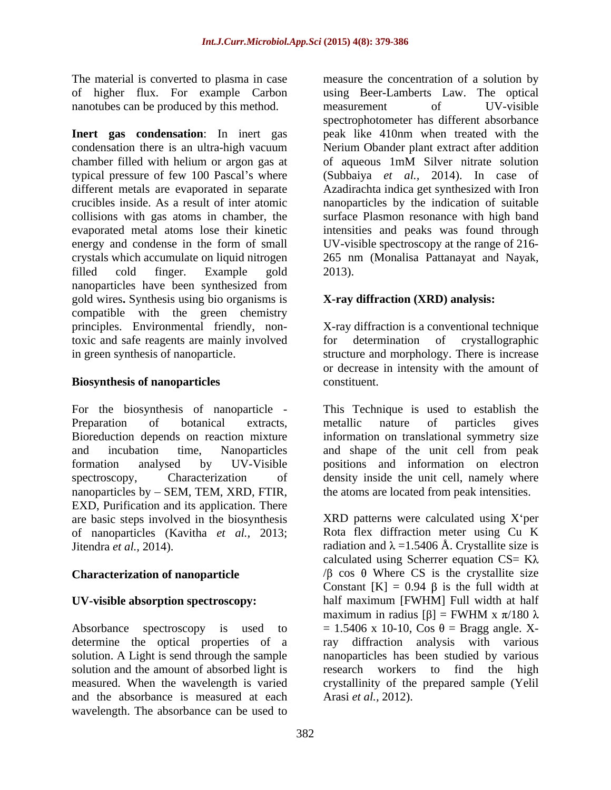nanotubes can be produced by this method. The measurement of the UV-visible

**Inert gas condensation**: In inert gas peak like 410nm when treated with the condensation there is an ultra-high vacuum Nerium Obander plant extract after addition chamber filled with helium or argon gas at of aqueous 1mM Silver nitrate solution typical pressure of few 100 Pascal's where (Subbaiya *et al., 2014)*. In case of different metals are evaporated in separate Azadirachta indica get synthesized with Iron crucibles inside. As a result of inter atomic nanoparticles by the indication of suitable collisions with gas atoms in chamber, the surface Plasmon resonance with high band evaporated metal atoms lose their kinetic intensities and peaks was found through energy and condense in the form of small UV-visible spectroscopy at the range of 216 crystals which accumulate on liquid nitrogen 265 nm (Monalisa Pattanayat and Nayak, filled cold finger. Example gold nanoparticles have been synthesized from gold wires**.** Synthesis using bio organisms is compatible with the green chemistry principles. Environmental friendly, non-X-ray diffraction is a conventional technique toxic and safe reagents are mainly involved for determination of crystallographic in green synthesis of nanoparticle. structure and morphology. There is increase

### **Biosynthesis of nanoparticles** constituent.

nanoparticles by  $-$  SEM, TEM, XRD, FTIR, EXD, Purification and its application. There are basic steps involved in the biosynthesis of nanoparticles (Kavitha *et al.,*2013;

solution and the amount of absorbed light is and the absorbance is measured at each wavelength. The absorbance can be used to

The material is converted to plasma in case measure the concentration of a solution by of higher flux. For example Carbon using Beer-Lamberts Law. The optical measurement of UV-visible spectrophotometer has different absorbance of aqueous 1mM Silver nitrate solution 2013).

# **X-ray diffraction (XRD) analysis:**

for determination of crystallographic or decrease in intensity with the amount of constituent.

For the biosynthesis of nanoparticle - This Technique is used to establish the Preparation of botanical extracts, metallic nature of particles gives Bioreduction depends on reaction mixture information on translational symmetry size and incubation time, Nanoparticles and shape of the unit cell from peak formation analysed by UV-Visible positions and information on electron spectroscopy, Characterization of density inside the unit cell, namely where metallic nature of particles gives the atoms are located from peak intensities.

Jitendra *et al.*, 2014). radiation and  $\lambda = 1.5406$  Å. Crystallite size is **Characterization of nanoparticle**  $\beta$  cos  $\theta$  Where CS is the crystallite size **UV-visible absorption spectroscopy:** half maximum [FWHM] Full width at half Absorbance spectroscopy is used to  $= 1.5406 \times 10-10$ , Cos  $\theta =$  Bragg angle. Xdetermine the optical properties of a ray diffraction analysis with various solution. A Light is send through the sample nanoparticles has been studied by various measured. When the wavelength is varied crystallinity of the prepared sample (Yelil  $XRD$  patterns were calculated using  $X<sup>2</sup>$  per Rota flex diffraction meter using Cu K calculated using Scherrer equation  $CS = K\lambda$ Constant  $[K] = 0.94 \beta$  is the full width at maximum in radius [ $\beta$ ] = FWHM x  $\pi/180 \lambda$ research workers to find the high Arasi *et al.,* 2012).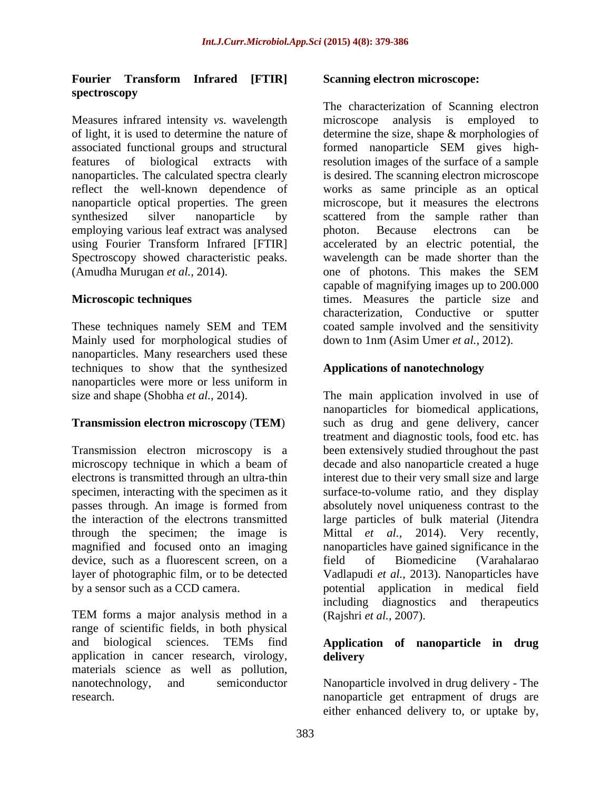### **Fourier Transform Infrared [FTIR] spectroscopy**

Measures infrared intensity *vs.* wavelength reflect the well-known dependence of employing various leaf extract was analysed by photon. Because electrons can be (Amudha Murugan *et al.,* 2014).

Mainly used for morphological studies of down to 1nm (Asim Umer et al., 2012). nanoparticles. Many researchers used these techniques to show that the synthesized nanoparticles were more or less uniform in

# **Transmission electron microscopy** (**TEM**)

Transmission electron microscopy is a device, such as a fluorescent screen, on a field of Biomedicine (Varahalarao

TEM forms a major analysis method in a range of scientific fields, in both physical and biological sciences. TEMs find **Application of nanoparticle in drug** application in cancer research, virology, delivery materials science as well as pollution,

### **Scanning electron microscope:**

of light, it is used to determine the nature of determine the size, shape & morphologies of associated functional groups and structural formed nanoparticle SEM gives highfeatures of biological extracts with resolution images of the surface of a sample nanoparticles. The calculated spectra clearly is desired. The scanning electron microscope nanoparticle optical properties. The green microscope, but it measures the electrons synthesized silver nanoparticle by scattered from the sample rather than using Fourier Transform Infrared [FTIR] accelerated by an electric potential, the Spectroscopy showed characteristic peaks. Wavelength can be made shorter than the **Microscopic techniques** times. Measures the particle size and These techniques namely SEM and TEM coated sample involved and the sensitivity The characterization of Scanning electron analysis is employed to works as same principle as an optical photon. Because electrons can be one of photons. This makes the SEM capable of magnifying images up to 200.000 characterization, Conductive or sputter coated sample involved and the sensitivity down to 1nm (Asim Umer *et al.,* 2012).

### **Applications of nanotechnology**

size and shape (Shobha *et al.,* 2014). The main application involved in use of microscopy technique in which a beam of decade and also nanoparticle created a huge electrons is transmitted through an ultra-thin interest due to their very small size and large specimen, interacting with the specimen as it surface-to-volume ratio, and they display passes through. An image is formed from absolutely novel uniqueness contrast to the the interaction of the electrons transmitted large particles of bulk material (Jitendra through the specimen; the image is Mittal *et al.,* 2014). Very recently, magnified and focused onto an imaging nanoparticles have gained significance in the layer of photographic film, or to be detected Vadlapudi *et al.,* 2013). Nanoparticles have by a sensor such as a CCD camera. <br>potential application in medical field nanoparticles for biomedical applications, such as drug and gene delivery, cancer treatment and diagnostic tools, food etc. has been extensively studied throughout the past field of Biomedicine (Varahalarao including diagnostics and therapeutics (Rajshri *et al.,* 2007).

# **delivery**

nanotechnology, and semiconductor Nanoparticle involved in drug delivery - The nanoparticle get entrapment of drugs are Nanoparticle involved in drug delivery - The nanoparticle get entrapment of drugs are either enhanced delivery to, or uptake by,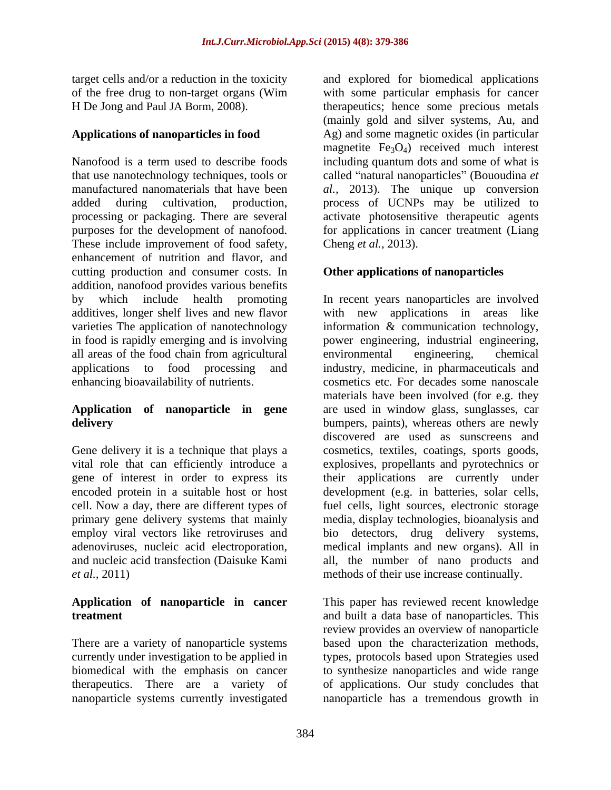Nanofood is a term used to describe foods including quantum dots and some of what is that use nanotechnology techniques, tools or called "natural nanoparticles" (Bououdina *et* manufactured nanomaterials that have been *al.,* 2013). The unique up conversion added during cultivation, production, process of UCNPs may be utilized to processing or packaging. There are several purposes for the development of nanofood. for applications in cancer treatment (Liang These include improvement of food safety, Cheng et al., 2013). enhancement of nutrition and flavor, and cutting production and consumer costs. In addition, nanofood provides various benefits all areas of the food chain from agricultural environmental engineering, chemical

Gene delivery it is a technique that plays a employ viral vectors like retroviruses and bio *et al.,* 2011) methods of their use increase continually.

# **Application of nanoparticle in cancer**

nanoparticle systems currently investigated

target cells and/or a reduction in the toxicity and explored for biomedical applications of the free drug to non-target organs (Wim with some particular emphasis for cancer H De Jong and Paul JA Borm, 2008). therapeutics; hence some precious metals **Applications of nanoparticles in food** Ag) and some magnetic oxides (in particular (mainly gold and silver systems, Au, and magnetite  $Fe<sub>3</sub>O<sub>4</sub>$  received much interest activate photosensitive therapeutic agents Cheng *et al.,* 2013).

# **Other applications of nanoparticles**

by which include health promoting In recent years nanoparticles are involved additives, longer shelf lives and new flavor with new applications in areas like varieties The application of nanotechnology information & communication technology, in food is rapidly emerging and is involving power engineering, industrial engineering, applications to food processing and industry, medicine, in pharmaceuticals and enhancing bioavailability of nutrients. cosmetics etc. For decades some nanoscale **Application of nanoparticle in gene** are usedin window glass, sunglasses, car **delivery** bumpers, paints), whereas others are newly vital role that can efficiently introduce a explosives, propellants and pyrotechnics or gene of interest in order to express its their applications are currently under encoded protein in a suitable host or host development (e.g. in batteries, solar cells, cell. Now a day, there are different types of fuel cells, light sources, electronic storage primary gene delivery systems that mainly media, display technologies, bioanalysis and adenoviruses, nucleic acid electroporation, medical implants and new organs). All in and nucleic acid transfection (Daisuke Kami all, the number of nano products and environmental engineering, chemical materials have been involved (for e.g. they discovered are used as sunscreens and cosmetics, textiles, coatings, sports goods, detectors, drug delivery systems,

**treatment** and built a data base of nanoparticles. This There are a variety of nanoparticle systems based upon the characterization methods, currently under investigation to be applied in types, protocols based upon Strategies used biomedical with the emphasis on cancer to synthesize nanoparticles and wide range therapeutics. There are a variety of of applications. Our study concludes that This paper has reviewed recent knowledge review provides an overview of nanoparticle nanoparticle has a tremendous growth in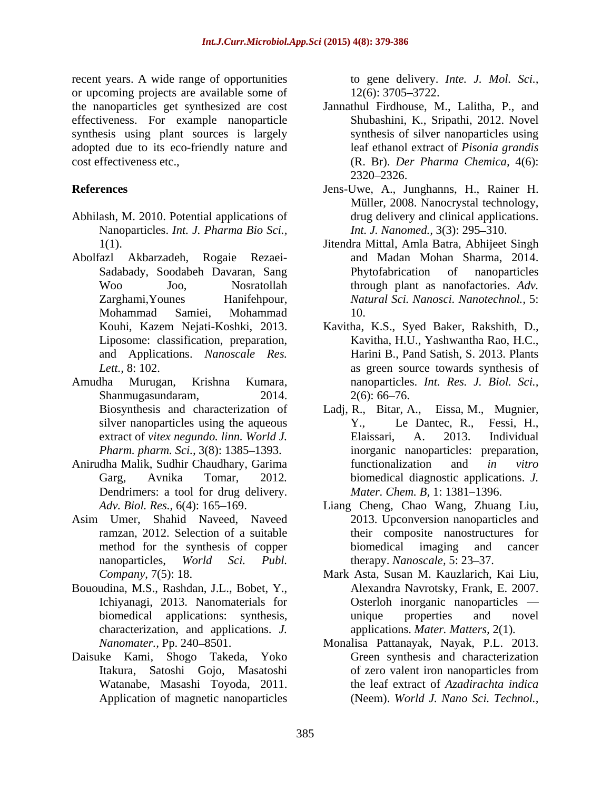recent years. A wide range of opportunities or upcoming projects are available some of  $12(6)$ : 3705–3722. effectiveness. For example nanoparticle synthesis using plant sources is largely adopted due to its eco-friendly nature and

- Abhilash, M. 2010. Potential applications of Nanoparticles. *Int. J. Pharma Bio Sci.,*
- 
- Shanmugasundaram, 2014. 2(6): 66–76.
- Anirudha Malik, Sudhir Chaudhary, Garima Dendrimers: a tool for drug delivery.
- Asim Umer, Shahid Naveed, Naveed
- Bououdina, M.S., Rashdan, J.L., Bobet, Y., characterization, and applications. *J.*
- Daisuke Kami, Shogo Takeda, Yoko Watanabe, Masashi Toyoda, 2011. Application of magnetic nanoparticles

to gene delivery. *Inte. J. Mol. Sci.,* 12(6): 3705 3722.

- the nanoparticles get synthesized are cost Jannathul Firdhouse, M., Lalitha, P., and cost effectiveness etc., (R. Br). *Der Pharma Chemica,* 4(6): Shubashini, K., Sripathi, 2012. Novel synthesis of silver nanoparticles using leaf ethanol extract of *Pisonia grandis* 2320 2326.
- **References** Jens-Uwe, A., Junghanns, H., Rainer H. Müller, 2008. Nanocrystal technology, drug delivery and clinical applications. *Int. J. Nanomed.,* 3(3): 295-310.
- 1(1). Jitendra Mittal, Amla Batra, Abhijeet Singh Abolfazl Akbarzadeh, Rogaie Rezaei- and Madan Mohan Sharma, 2014. Sadabady, Soodabeh Davaran, Sang Woo Joo, Nosratollah through plant as nanofactories. *Adv.*  Zarghami,Younes Hanifehpour, *Natural Sci. Nanosci. Nanotechnol.,* 5: Mohammad Samiei, Mohammad Phytofabrication of nanoparticles 10.
- Kouhi, Kazem Nejati-Koshki, 2013. Kavitha, K.S., Syed Baker, Rakshith, D., Liposome: classification, preparation, Kavitha, H.U., Yashwantha Rao, H.C., and Applications. *Nanoscale Res.* Harini B., Pand Satish, S. 2013. Plants Lett., 8: 102. **Lett.** as green source towards synthesis of Amudha Murugan, Krishna Kumara, nanoparticles. *Int. Res. J. Biol. Sci.,*  $2(6)$ : 66–76.
	- Biosynthesis and characterization of Ladj, R., Bitar, A., Eissa, M., Mugnier, silver nanoparticles using the aqueous Y., Le Dantec, R., Fessi, H., extract of *vitex negundo. linn. World J.* Elaissari, A. 2013. Individual *Pharm. pharm. Sci.,* 3(8): 1385–1393. inorganic nanoparticles: preparation, Garg, Avnika Tomar, 2012*.* biomedical diagnostic applications. *J.* Ladj, R., Bitar, A., Eissa, M., Mugnier, Y., Le Dantec, R., Fessi, H., Elaissari, A. 2013. Individual functionalization and *in vitro Mater. Chem. B, 1: 1381-1396.*
	- *Adv. Biol. Res.,* 6(4): 165–169. Liang Cheng, Chao Wang, Zhuang Liu, ramzan, 2012. Selection of a suitable their composite nanostructures for method for the synthesis of copper biomedical imaging and cancer nanoparticles, *World Sci. Publ.* therapy. *Nanoscale*, 5: 23–37. Liang Cheng, Chao Wang, Zhuang Liu, 2013. Upconversion nanoparticles and biomedical imaging and cancer
	- *Company*, 7(5): 18. Mark Asta, Susan M. Kauzlarich, Kai Liu, Ichiyanagi, 2013. Nanomaterials for Osterloh inorganic nanoparticles biomedical applications: synthesis, Alexandra Navrotsky, Frank, E. 2007. unique properties and novel applications. *Mater. Matters,* 2(1)*.*
	- *Nanomater.,* Pp. 240 8501. Monalisa Pattanayak, Nayak, P.L. 2013. Itakura, Satoshi Gojo, Masatoshi Green synthesis and characterization of zero valent iron nanoparticles from the leaf extract of *Azadirachta indica* (Neem). *World J. Nano Sci. Technol.,*